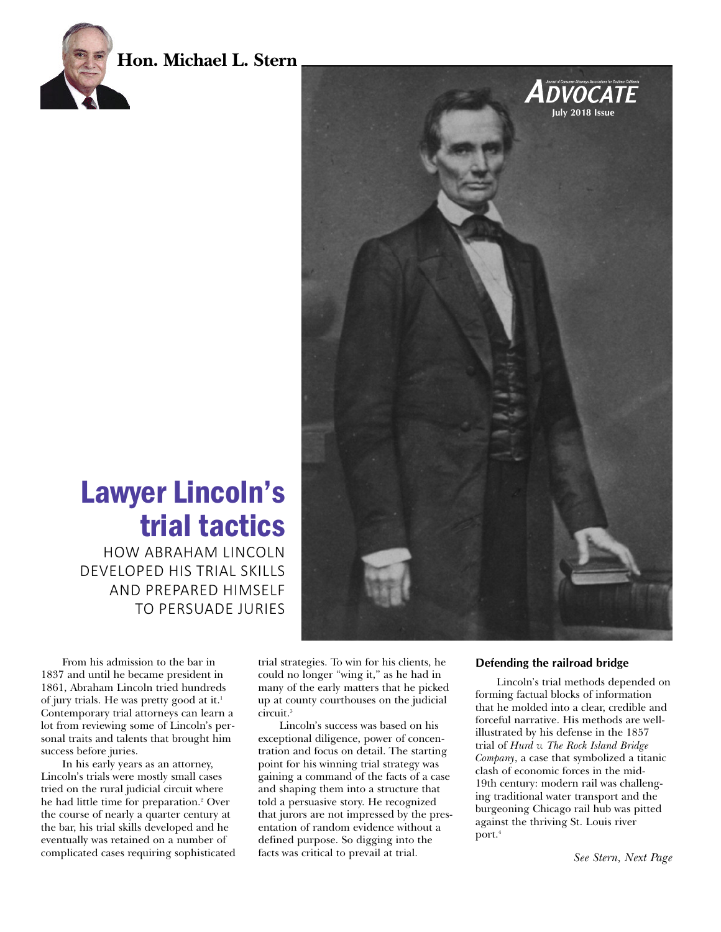





Lawyer Lincoln's trial tactics HOW ABRAHAM LINCOLN

DEVELOPED HIS TRIAL SKILLS AND PREPARED HIMSELF TO PERSUADE JURIES

From his admission to the bar in 1837 and until he became president in 1861, Abraham Lincoln tried hundreds of jury trials. He was pretty good at it. 1 Contemporary trial attorneys can learn a lot from reviewing some of Lincoln's personal traits and talents that brought him success before juries.

In his early years as an attorney, Lincoln's trials were mostly small cases tried on the rural judicial circuit where he had little time for preparation. <sup>2</sup> Over the course of nearly a quarter century at the bar, his trial skills developed and he eventually was retained on a number of complicated cases requiring sophisticated

trial strategies. To win for his clients, he could no longer "wing it," as he had in many of the early matters that he picked up at county courthouses on the judicial circuit. 3

Lincoln's success was based on his exceptional diligence, power of concentration and focus on detail. The starting point for his winning trial strategy was gaining a command of the facts of a case and shaping them into a structure that told a persuasive story. He recognized that jurors are not impressed by the presentation of random evidence without a defined purpose. So digging into the facts was critical to prevail at trial.

#### **Defending the railroad bridge**

Lincoln's trial methods depended on forming factual blocks of information that he molded into a clear, credible and forceful narrative. His methods are wellillustrated by his defense in the 1857 trial of *Hurd v. The Rock Island Bridge Company*, a case that symbolized a titanic clash of economic forces in the mid-19th century: modern rail was challenging traditional water transport and the burgeoning Chicago rail hub was pitted against the thriving St. Louis river port. 4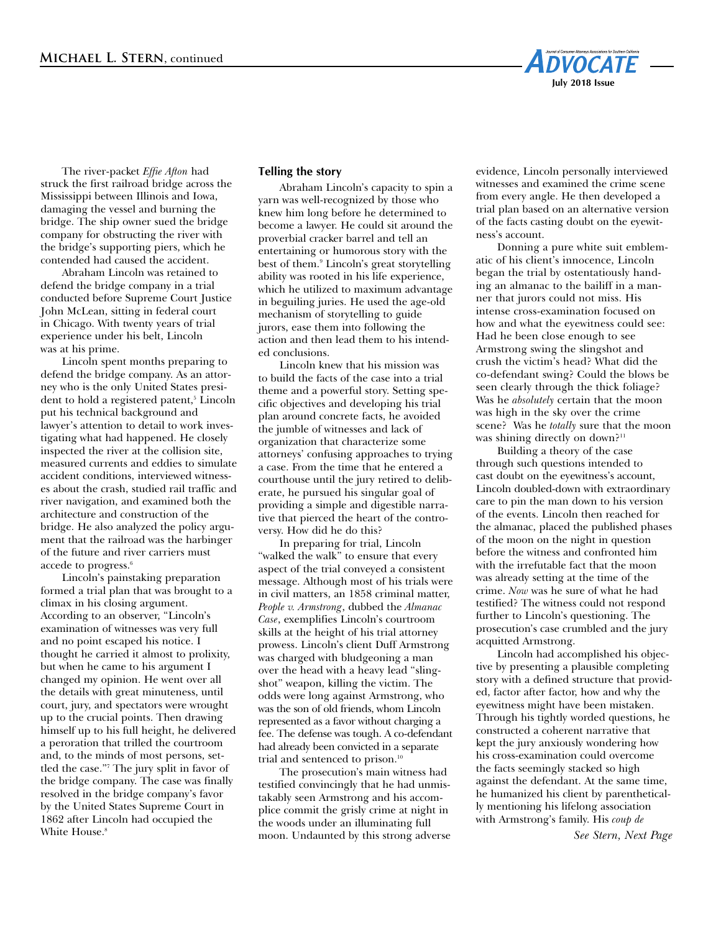

The river-packet *Effie Afton* had struck the first railroad bridge across the Mississippi between Illinois and Iowa, damaging the vessel and burning the bridge. The ship owner sued the bridge company for obstructing the river with the bridge's supporting piers, which he contended had caused the accident.

Abraham Lincoln was retained to defend the bridge company in a trial conducted before Supreme Court Justice John McLean, sitting in federal court in Chicago. With twenty years of trial experience under his belt, Lincoln was at his prime.

 Lincoln spent months preparing to defend the bridge company. As an attorney who is the only United States president to hold a registered patent, <sup>5</sup> Lincoln put his technical background and lawyer's attention to detail to work investigating what had happened. He closely inspected the river at the collision site, measured currents and eddies to simulate accident conditions, interviewed witnesses about the crash, studied rail traffic and river navigation, and examined both the architecture and construction of the bridge. He also analyzed the policy argument that the railroad was the harbinger of the future and river carriers must accede to progress. 6

 Lincoln's painstaking preparation formed a trial plan that was brought to a climax in his closing argument. According to an observer, "Lincoln's examination of witnesses was very full and no point escaped his notice. I thought he carried it almost to prolixity, but when he came to his argument I changed my opinion. He went over all the details with great minuteness, until court, jury, and spectators were wrought up to the crucial points. Then drawing himself up to his full height, he delivered a peroration that trilled the courtroom and, to the minds of most persons, settled the case."7 The jury split in favor of the bridge company. The case was finally resolved in the bridge company's favor by the United States Supreme Court in 1862 after Lincoln had occupied the White House. 8

### **Telling the story**

 Abraham Lincoln's capacity to spin a yarn was well-recognized by those who knew him long before he determined to become a lawyer. He could sit around the proverbial cracker barrel and tell an entertaining or humorous story with the best of them. <sup>9</sup> Lincoln's great storytelling ability was rooted in his life experience, which he utilized to maximum advantage in beguiling juries. He used the age-old mechanism of storytelling to guide jurors, ease them into following the action and then lead them to his intended conclusions.

 Lincoln knew that his mission was to build the facts of the case into a trial theme and a powerful story. Setting specific objectives and developing his trial plan around concrete facts, he avoided the jumble of witnesses and lack of organization that characterize some attorneys' confusing approaches to trying a case. From the time that he entered a courthouse until the jury retired to deliberate, he pursued his singular goal of providing a simple and digestible narrative that pierced the heart of the controversy. How did he do this?

 In preparing for trial, Lincoln "walked the walk" to ensure that every aspect of the trial conveyed a consistent message. Although most of his trials were in civil matters, an 1858 criminal matter, *People v. Armstrong*, dubbed the *Almanac Case*, exemplifies Lincoln's courtroom skills at the height of his trial attorney prowess. Lincoln's client Duff Armstrong was charged with bludgeoning a man over the head with a heavy lead "slingshot" weapon, killing the victim. The odds were long against Armstrong, who was the son of old friends, whom Lincoln represented as a favor without charging a fee. The defense was tough. A co-defendant had already been convicted in a separate trial and sentenced to prison. 10

The prosecution's main witness had testified convincingly that he had unmistakably seen Armstrong and his accomplice commit the grisly crime at night in the woods under an illuminating full moon. Undaunted by this strong adverse evidence, Lincoln personally interviewed witnesses and examined the crime scene from every angle. He then developed a trial plan based on an alternative version of the facts casting doubt on the eyewitness's account.

Donning a pure white suit emblematic of his client's innocence, Lincoln began the trial by ostentatiously handing an almanac to the bailiff in a manner that jurors could not miss. His intense cross-examination focused on how and what the eyewitness could see: Had he been close enough to see Armstrong swing the slingshot and crush the victim's head? What did the co-defendant swing? Could the blows be seen clearly through the thick foliage? Was he *absolutely* certain that the moon was high in the sky over the crime scene? Was he *totally* sure that the moon was shining directly on down?<sup>11</sup>

 Building a theory of the case through such questions intended to cast doubt on the eyewitness's account, Lincoln doubled-down with extraordinary care to pin the man down to his version of the events. Lincoln then reached for the almanac, placed the published phases of the moon on the night in question before the witness and confronted him with the irrefutable fact that the moon was already setting at the time of the crime. *Now* was he sure of what he had testified? The witness could not respond further to Lincoln's questioning. The prosecution's case crumbled and the jury acquitted Armstrong.

Lincoln had accomplished his objective by presenting a plausible completing story with a defined structure that provided, factor after factor, how and why the eyewitness might have been mistaken. Through his tightly worded questions, he constructed a coherent narrative that kept the jury anxiously wondering how his cross-examination could overcome the facts seemingly stacked so high against the defendant. At the same time, he humanized his client by parenthetically mentioning his lifelong association with Armstrong's family. His *coup de*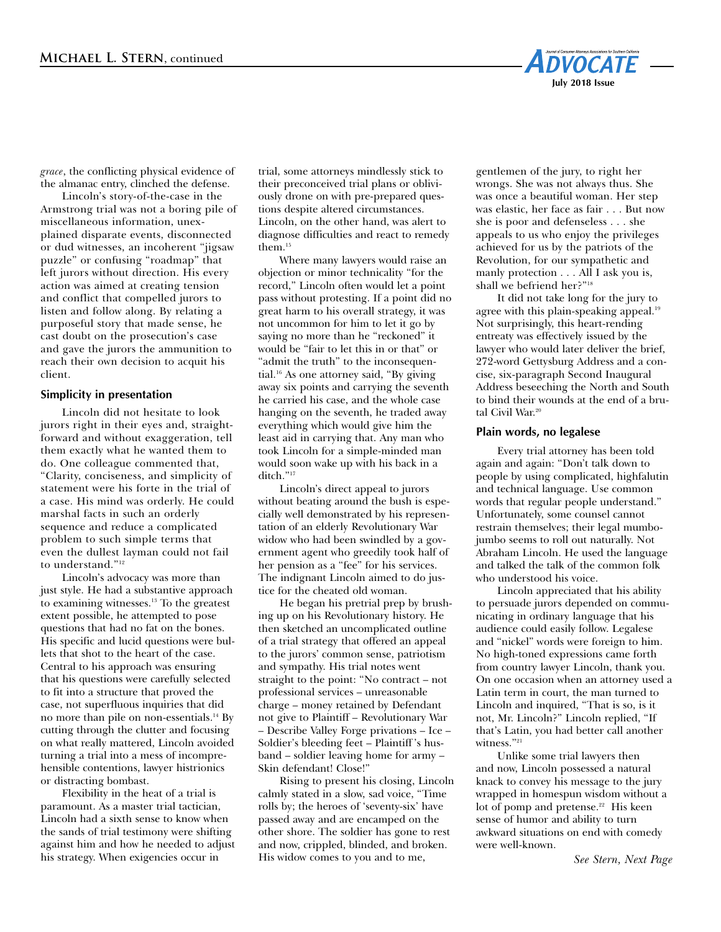

*grace*, the conflicting physical evidence of the almanac entry, clinched the defense.

Lincoln's story-of-the-case in the Armstrong trial was not a boring pile of miscellaneous information, unexplained disparate events, disconnected or dud witnesses, an incoherent "jigsaw puzzle" or confusing "roadmap" that left jurors without direction. His every action was aimed at creating tension and conflict that compelled jurors to listen and follow along. By relating a purposeful story that made sense, he cast doubt on the prosecution's case and gave the jurors the ammunition to reach their own decision to acquit his client.

# **Simplicity in presentation**

Lincoln did not hesitate to look jurors right in their eyes and, straightforward and without exaggeration, tell them exactly what he wanted them to do. One colleague commented that, "Clarity, conciseness, and simplicity of statement were his forte in the trial of a case. His mind was orderly. He could marshal facts in such an orderly sequence and reduce a complicated problem to such simple terms that even the dullest layman could not fail to understand."12

Lincoln's advocacy was more than just style. He had a substantive approach to examining witnesses. <sup>13</sup> To the greatest extent possible, he attempted to pose questions that had no fat on the bones. His specific and lucid questions were bullets that shot to the heart of the case. Central to his approach was ensuring that his questions were carefully selected to fit into a structure that proved the case, not superfluous inquiries that did no more than pile on non-essentials. <sup>14</sup> By cutting through the clutter and focusing on what really mattered, Lincoln avoided turning a trial into a mess of incomprehensible contentions, lawyer histrionics or distracting bombast.

Flexibility in the heat of a trial is paramount. As a master trial tactician, Lincoln had a sixth sense to know when the sands of trial testimony were shifting against him and how he needed to adjust his strategy. When exigencies occur in

trial, some attorneys mindlessly stick to their preconceived trial plans or obliviously drone on with pre-prepared questions despite altered circumstances. Lincoln, on the other hand, was alert to diagnose difficulties and react to remedy them. 15

Where many lawyers would raise an objection or minor technicality "for the record," Lincoln often would let a point pass without protesting. If a point did no great harm to his overall strategy, it was not uncommon for him to let it go by saying no more than he "reckoned" it would be "fair to let this in or that" or "admit the truth" to the inconsequential. <sup>16</sup> As one attorney said, "By giving away six points and carrying the seventh he carried his case, and the whole case hanging on the seventh, he traded away everything which would give him the least aid in carrying that. Any man who took Lincoln for a simple-minded man would soon wake up with his back in a ditch."17

Lincoln's direct appeal to jurors without beating around the bush is especially well demonstrated by his representation of an elderly Revolutionary War widow who had been swindled by a government agent who greedily took half of her pension as a "fee" for his services. The indignant Lincoln aimed to do justice for the cheated old woman.

He began his pretrial prep by brushing up on his Revolutionary history. He then sketched an uncomplicated outline of a trial strategy that offered an appeal to the jurors' common sense, patriotism and sympathy. His trial notes went straight to the point: "No contract – not professional services – unreasonable charge – money retained by Defendant not give to Plaintiff – Revolutionary War – Describe Valley Forge privations – Ice – Soldier's bleeding feet – Plaintiff 's husband – soldier leaving home for army – Skin defendant! Close!"

Rising to present his closing, Lincoln calmly stated in a slow, sad voice, "Time rolls by; the heroes of 'seventy-six' have passed away and are encamped on the other shore. The soldier has gone to rest and now, crippled, blinded, and broken. His widow comes to you and to me,

gentlemen of the jury, to right her wrongs. She was not always thus. She was once a beautiful woman. Her step was elastic, her face as fair . . . But now she is poor and defenseless . . . she appeals to us who enjoy the privileges achieved for us by the patriots of the Revolution, for our sympathetic and manly protection . . . All I ask you is, shall we befriend her?"18

It did not take long for the jury to agree with this plain-speaking appeal. 19 Not surprisingly, this heart-rending entreaty was effectively issued by the lawyer who would later deliver the brief, 272-word Gettysburg Address and a concise, six-paragraph Second Inaugural Address beseeching the North and South to bind their wounds at the end of a brutal Civil War. 20

### **Plain words, no legalese**

Every trial attorney has been told again and again: "Don't talk down to people by using complicated, highfalutin and technical language. Use common words that regular people understand." Unfortunately, some counsel cannot restrain themselves; their legal mumbojumbo seems to roll out naturally. Not Abraham Lincoln. He used the language and talked the talk of the common folk who understood his voice.

Lincoln appreciated that his ability to persuade jurors depended on communicating in ordinary language that his audience could easily follow. Legalese and "nickel" words were foreign to him. No high-toned expressions came forth from country lawyer Lincoln, thank you. On one occasion when an attorney used a Latin term in court, the man turned to Lincoln and inquired, "That is so, is it not, Mr. Lincoln?" Lincoln replied, "If that's Latin, you had better call another witness."<sup>21</sup>

Unlike some trial lawyers then and now, Lincoln possessed a natural knack to convey his message to the jury wrapped in homespun wisdom without a lot of pomp and pretense. <sup>22</sup> His keen sense of humor and ability to turn awkward situations on end with comedy were well-known.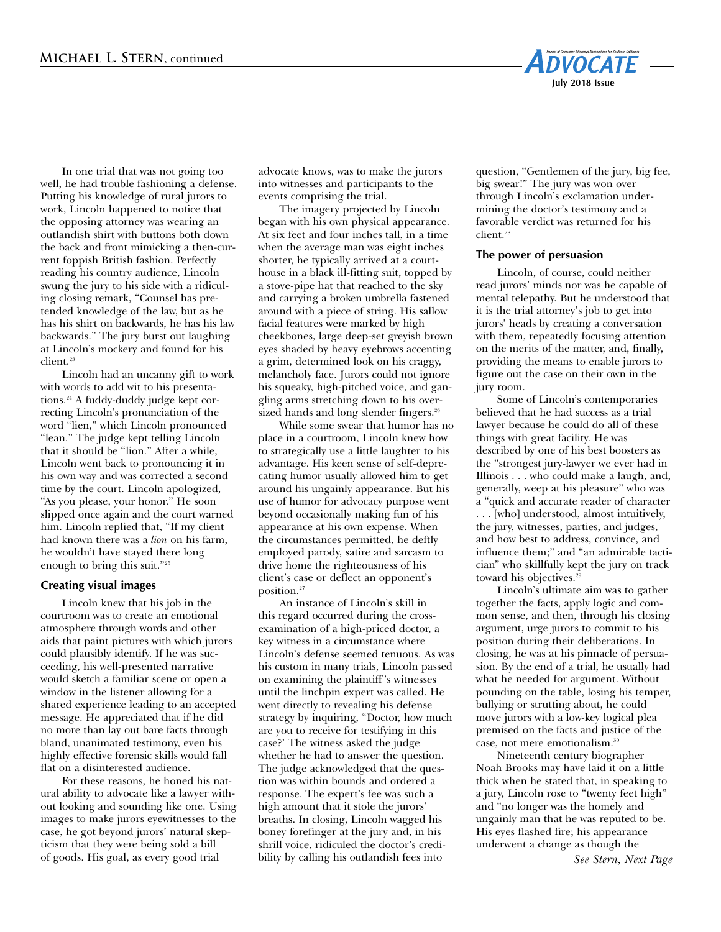

In one trial that was not going too well, he had trouble fashioning a defense. Putting his knowledge of rural jurors to work, Lincoln happened to notice that the opposing attorney was wearing an outlandish shirt with buttons both down the back and front mimicking a then-current foppish British fashion. Perfectly reading his country audience, Lincoln swung the jury to his side with a ridiculing closing remark, "Counsel has pretended knowledge of the law, but as he has his shirt on backwards, he has his law backwards." The jury burst out laughing at Lincoln's mockery and found for his client. 23

Lincoln had an uncanny gift to work with words to add wit to his presentations. <sup>24</sup> A fuddy-duddy judge kept correcting Lincoln's pronunciation of the word "lien," which Lincoln pronounced "lean." The judge kept telling Lincoln that it should be "lion." After a while, Lincoln went back to pronouncing it in his own way and was corrected a second time by the court. Lincoln apologized, "As you please, your honor." He soon slipped once again and the court warned him. Lincoln replied that, "If my client had known there was a *lion* on his farm, he wouldn't have stayed there long enough to bring this suit."25

# **Creating visual images**

Lincoln knew that his job in the courtroom was to create an emotional atmosphere through words and other aids that paint pictures with which jurors could plausibly identify. If he was succeeding, his well-presented narrative would sketch a familiar scene or open a window in the listener allowing for a shared experience leading to an accepted message. He appreciated that if he did no more than lay out bare facts through bland, unanimated testimony, even his highly effective forensic skills would fall flat on a disinterested audience.

For these reasons, he honed his natural ability to advocate like a lawyer without looking and sounding like one. Using images to make jurors eyewitnesses to the case, he got beyond jurors' natural skepticism that they were being sold a bill of goods. His goal, as every good trial

advocate knows, was to make the jurors into witnesses and participants to the events comprising the trial.

The imagery projected by Lincoln began with his own physical appearance. At six feet and four inches tall, in a time when the average man was eight inches shorter, he typically arrived at a courthouse in a black ill-fitting suit, topped by a stove-pipe hat that reached to the sky and carrying a broken umbrella fastened around with a piece of string. His sallow facial features were marked by high cheekbones, large deep-set greyish brown eyes shaded by heavy eyebrows accenting a grim, determined look on his craggy, melancholy face. Jurors could not ignore his squeaky, high-pitched voice, and gangling arms stretching down to his oversized hands and long slender fingers. 26

While some swear that humor has no place in a courtroom, Lincoln knew how to strategically use a little laughter to his advantage. His keen sense of self-deprecating humor usually allowed him to get around his ungainly appearance. But his use of humor for advocacy purpose went beyond occasionally making fun of his appearance at his own expense. When the circumstances permitted, he deftly employed parody, satire and sarcasm to drive home the righteousness of his client's case or deflect an opponent's position. 27

An instance of Lincoln's skill in this regard occurred during the crossexamination of a high-priced doctor, a key witness in a circumstance where Lincoln's defense seemed tenuous. As was his custom in many trials, Lincoln passed on examining the plaintiff 's witnesses until the linchpin expert was called. He went directly to revealing his defense strategy by inquiring, "Doctor, how much are you to receive for testifying in this case?' The witness asked the judge whether he had to answer the question. The judge acknowledged that the question was within bounds and ordered a response. The expert's fee was such a high amount that it stole the jurors' breaths. In closing, Lincoln wagged his boney forefinger at the jury and, in his shrill voice, ridiculed the doctor's credibility by calling his outlandish fees into

question, "Gentlemen of the jury, big fee, big swear!" The jury was won over through Lincoln's exclamation undermining the doctor's testimony and a favorable verdict was returned for his client. 28

### **The power of persuasion**

Lincoln, of course, could neither read jurors' minds nor was he capable of mental telepathy. But he understood that it is the trial attorney's job to get into jurors' heads by creating a conversation with them, repeatedly focusing attention on the merits of the matter, and, finally, providing the means to enable jurors to figure out the case on their own in the jury room.

Some of Lincoln's contemporaries believed that he had success as a trial lawyer because he could do all of these things with great facility. He was described by one of his best boosters as the "strongest jury-lawyer we ever had in Illinois . . . who could make a laugh, and, generally, weep at his pleasure" who was a "quick and accurate reader of character . . . [who] understood, almost intuitively, the jury, witnesses, parties, and judges, and how best to address, convince, and influence them;" and "an admirable tactician" who skillfully kept the jury on track toward his objectives. 29

Lincoln's ultimate aim was to gather together the facts, apply logic and common sense, and then, through his closing argument, urge jurors to commit to his position during their deliberations. In closing, he was at his pinnacle of persuasion. By the end of a trial, he usually had what he needed for argument. Without pounding on the table, losing his temper, bullying or strutting about, he could move jurors with a low-key logical plea premised on the facts and justice of the case, not mere emotionalism. 30

Nineteenth century biographer Noah Brooks may have laid it on a little thick when he stated that, in speaking to a jury, Lincoln rose to "twenty feet high" and "no longer was the homely and ungainly man that he was reputed to be. His eyes flashed fire; his appearance underwent a change as though the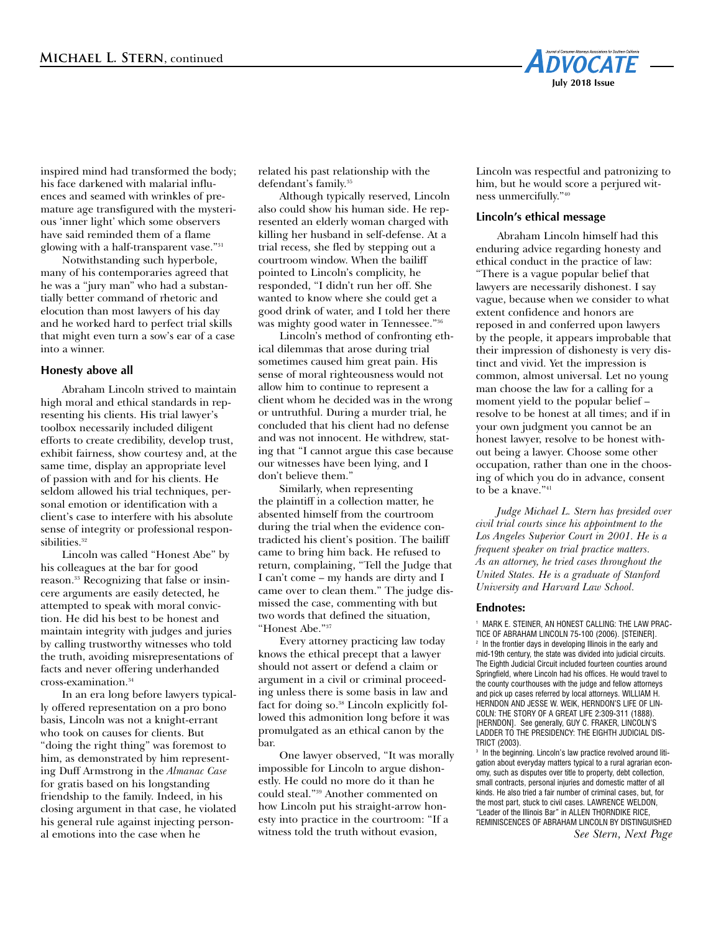

inspired mind had transformed the body; his face darkened with malarial influences and seamed with wrinkles of premature age transfigured with the mysterious 'inner light' which some observers have said reminded them of a flame glowing with a half-transparent vase."31

Notwithstanding such hyperbole, many of his contemporaries agreed that he was a "jury man" who had a substantially better command of rhetoric and elocution than most lawyers of his day and he worked hard to perfect trial skills that might even turn a sow's ear of a case into a winner.

# **Honesty above all**

Abraham Lincoln strived to maintain high moral and ethical standards in representing his clients. His trial lawyer's toolbox necessarily included diligent efforts to create credibility, develop trust, exhibit fairness, show courtesy and, at the same time, display an appropriate level of passion with and for his clients. He seldom allowed his trial techniques, personal emotion or identification with a client's case to interfere with his absolute sense of integrity or professional responsibilities. 32

Lincoln was called "Honest Abe" by his colleagues at the bar for good reason. <sup>33</sup> Recognizing that false or insincere arguments are easily detected, he attempted to speak with moral conviction. He did his best to be honest and maintain integrity with judges and juries by calling trustworthy witnesses who told the truth, avoiding misrepresentations of facts and never offering underhanded cross-examination. 34

In an era long before lawyers typically offered representation on a pro bono basis, Lincoln was not a knight-errant who took on causes for clients. But "doing the right thing" was foremost to him, as demonstrated by him representing Duff Armstrong in the *Almanac Case* for gratis based on his longstanding friendship to the family. Indeed, in his closing argument in that case, he violated his general rule against injecting personal emotions into the case when he

related his past relationship with the defendant's family. 35

Although typically reserved, Lincoln also could show his human side. He represented an elderly woman charged with killing her husband in self-defense. At a trial recess, she fled by stepping out a courtroom window. When the bailiff pointed to Lincoln's complicity, he responded, "I didn't run her off. She wanted to know where she could get a good drink of water, and I told her there was mighty good water in Tennessee."

Lincoln's method of confronting ethical dilemmas that arose during trial sometimes caused him great pain. His sense of moral righteousness would not allow him to continue to represent a client whom he decided was in the wrong or untruthful. During a murder trial, he concluded that his client had no defense and was not innocent. He withdrew, stating that "I cannot argue this case because our witnesses have been lying, and I don't believe them."

Similarly, when representing the plaintiff in a collection matter, he absented himself from the courtroom during the trial when the evidence contradicted his client's position. The bailiff came to bring him back. He refused to return, complaining, "Tell the Judge that I can't come – my hands are dirty and I came over to clean them." The judge dismissed the case, commenting with but two words that defined the situation, "Honest Abe."37

Every attorney practicing law today knows the ethical precept that a lawyer should not assert or defend a claim or argument in a civil or criminal proceeding unless there is some basis in law and fact for doing so. <sup>38</sup> Lincoln explicitly followed this admonition long before it was promulgated as an ethical canon by the bar.

One lawyer observed, "It was morally impossible for Lincoln to argue dishonestly. He could no more do it than he could steal."39 Another commented on how Lincoln put his straight-arrow honesty into practice in the courtroom: "If a witness told the truth without evasion,

Lincoln was respectful and patronizing to him, but he would score a perjured witness unmercifully."40

### **Lincoln's ethical message**

Abraham Lincoln himself had this enduring advice regarding honesty and ethical conduct in the practice of law: "There is a vague popular belief that lawyers are necessarily dishonest. I say vague, because when we consider to what extent confidence and honors are reposed in and conferred upon lawyers by the people, it appears improbable that their impression of dishonesty is very distinct and vivid. Yet the impression is common, almost universal. Let no young man choose the law for a calling for a moment yield to the popular belief – resolve to be honest at all times; and if in your own judgment you cannot be an honest lawyer, resolve to be honest without being a lawyer. Choose some other occupation, rather than one in the choosing of which you do in advance, consent to be a knave."<sup>41</sup>

 *Judge Michael L. Stern has presided over civil trial courts since his appointment to the Los Angeles Superior Court in 2001. He is a frequent speaker on trial practice matters. As an attorney, he tried cases throughout the United States. He is a graduate of Stanford University and Harvard Law School.*

#### **Endnotes:**

<sup>1</sup> MARK E. STEINER, AN HONEST CALLING: THE LAW PRAC-TICE OF ABRAHAM LINCOLN 75-100 (2006). [STEINER]. <sup>2</sup> In the frontier days in developing Illinois in the early and mid-19th century, the state was divided into judicial circuits. The Eighth Judicial Circuit included fourteen counties around Springfield, where Lincoln had his offices. He would travel to the county courthouses with the judge and fellow attorneys and pick up cases referred by local attorneys. WILLIAM H. HERNDON AND JESSE W. WEIK, HERNDON'S LIFE OF LIN-COLN: THE STORY OF A GREAT LIFE 2:309-311 (1888). [HERNDON]. See generally, GUY C. FRAKER, LINCOLN'S LADDER TO THE PRESIDENCY: THE EIGHTH JUDICIAL DIS-TRICT (2003).

<sup>3</sup> In the beginning. Lincoln's law practice revolved around litigation about everyday matters typical to a rural agrarian economy, such as disputes over title to property, debt collection, small contracts, personal injuries and domestic matter of all kinds. He also tried a fair number of criminal cases, but, for the most part, stuck to civil cases. LAWRENCE WELDON, "Leader of the Illinois Bar" in ALLEN THORNDIKE RICE, REMINISCENCES OF ABRAHAM LINCOLN BY DISTINGUISHED *See Stern, Next Page*